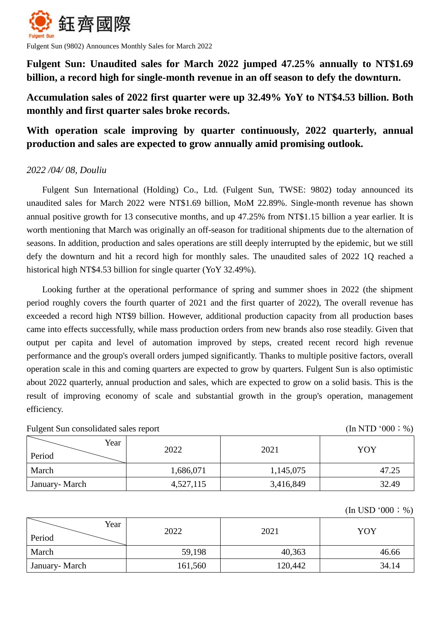

Fulgent Sun (9802) Announces Monthly Sales for March 2022

**Fulgent Sun: Unaudited sales for March 2022 jumped 47.25% annually to NT\$1.69 billion, a record high for single-month revenue in an off season to defy the downturn.**

# **Accumulation sales of 2022 first quarter were up 32.49% YoY to NT\$4.53 billion. Both monthly and first quarter sales broke records.**

# **With operation scale improving by quarter continuously, 2022 quarterly, annual production and sales are expected to grow annually amid promising outlook.**

## *2022 /04/ 08, Douliu*

Fulgent Sun International (Holding) Co., Ltd. (Fulgent Sun, TWSE: 9802) today announced its unaudited sales for March 2022 were NT\$1.69 billion, MoM 22.89%. Single-month revenue has shown annual positive growth for 13 consecutive months, and up 47.25% from NT\$1.15 billion a year earlier. It is worth mentioning that March was originally an off-season for traditional shipments due to the alternation of seasons. In addition, production and sales operations are still deeply interrupted by the epidemic, but we still defy the downturn and hit a record high for monthly sales. The unaudited sales of 2022 1Q reached a historical high NT\$4.53 billion for single quarter (YoY 32.49%).

Looking further at the operational performance of spring and summer shoes in 2022 (the shipment period roughly covers the fourth quarter of 2021 and the first quarter of 2022), The overall revenue has exceeded a record high NT\$9 billion. However, additional production capacity from all production bases came into effects successfully, while mass production orders from new brands also rose steadily. Given that output per capita and level of automation improved by steps, created recent record high revenue performance and the group's overall orders jumped significantly. Thanks to multiple positive factors, overall operation scale in this and coming quarters are expected to grow by quarters. Fulgent Sun is also optimistic about 2022 quarterly, annual production and sales, which are expected to grow on a solid basis. This is the result of improving economy of scale and substantial growth in the group's operation, management efficiency.

Fulgent Sun consolidated sales report (In NTD '000; %)

| Year<br>Period | 2022      | 2021      | YOY   |
|----------------|-----------|-----------|-------|
| March          | 1,686,071 | 1,145,075 | 47.25 |
| January-March  | 4,527,115 | 3,416,849 | 32.49 |

 $(In **USD**'000; %)$ 

| Year<br>Period | 2022    | 2021    | YOY   |
|----------------|---------|---------|-------|
| March          | 59,198  | 40,363  | 46.66 |
| January- March | 161,560 | 120,442 | 34.14 |